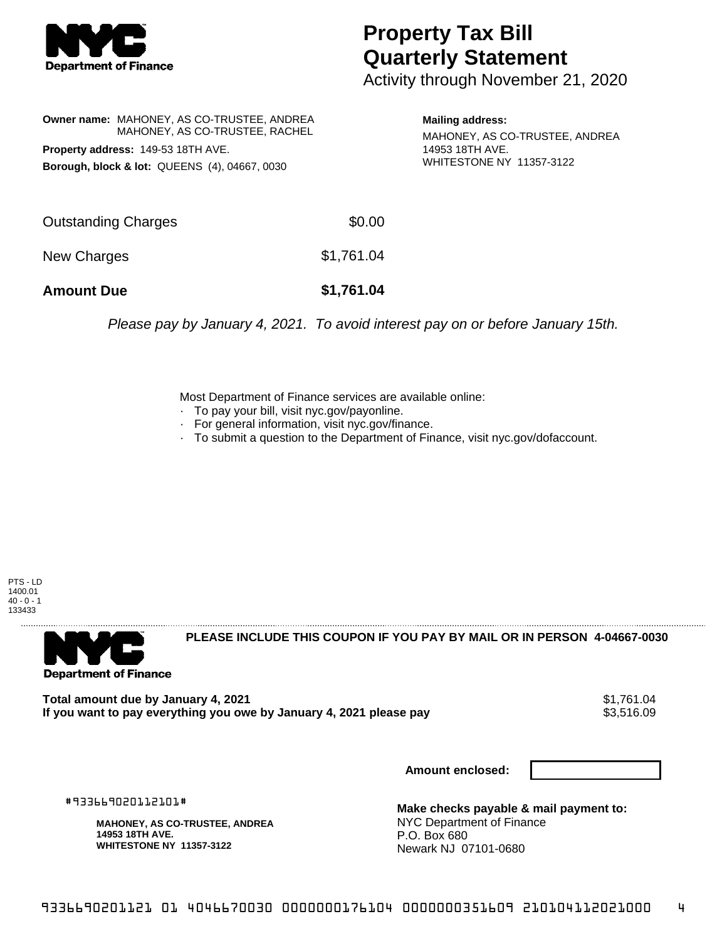

## **Property Tax Bill Quarterly Statement**

Activity through November 21, 2020

**Owner name:** MAHONEY, AS CO-TRUSTEE, ANDREA MAHONEY, AS CO-TRUSTEE, RACHEL **Property address:** 149-53 18TH AVE. **Borough, block & lot:** QUEENS (4), 04667, 0030

**Mailing address:**

MAHONEY, AS CO-TRUSTEE, ANDREA 14953 18TH AVE. WHITESTONE NY 11357-3122

| <b>Amount Due</b>   | \$1,761.04 |
|---------------------|------------|
| New Charges         | \$1,761.04 |
| Outstanding Charges | \$0.00     |

Please pay by January 4, 2021. To avoid interest pay on or before January 15th.

Most Department of Finance services are available online:

- · To pay your bill, visit nyc.gov/payonline.
- For general information, visit nyc.gov/finance.
- · To submit a question to the Department of Finance, visit nyc.gov/dofaccount.

PTS - LD 1400.01  $40 - 0 - 1$ 133433



**PLEASE INCLUDE THIS COUPON IF YOU PAY BY MAIL OR IN PERSON 4-04667-0030** 

**Total amount due by January 4, 2021**<br>If you want to pay everything you owe by January 4, 2021 please pay **show that the summer way.** \$3,516.09 If you want to pay everything you owe by January 4, 2021 please pay

**Amount enclosed:**

#933669020112101#

**MAHONEY, AS CO-TRUSTEE, ANDREA 14953 18TH AVE. WHITESTONE NY 11357-3122**

**Make checks payable & mail payment to:** NYC Department of Finance P.O. Box 680 Newark NJ 07101-0680